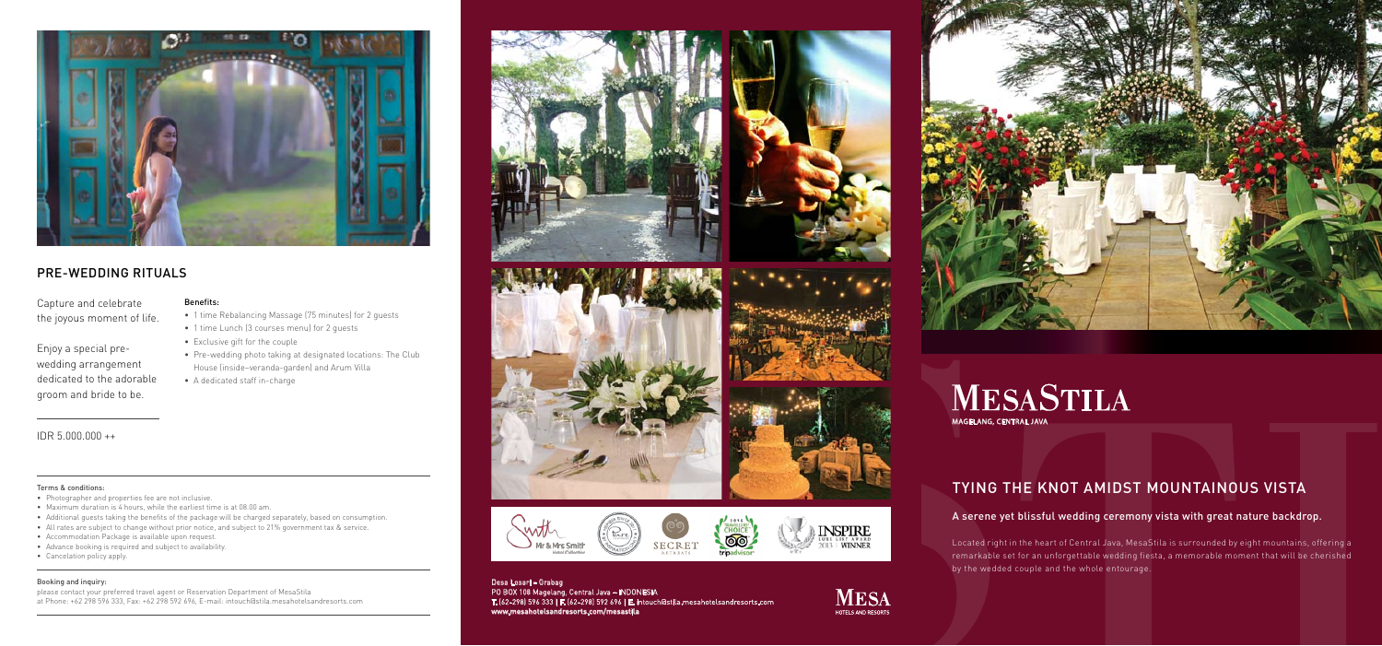# TYING THE KNOT AMIDST MOUNTAINOUS VISTA

Located right in the heart of Central Java, MesaStila is surrounded by eight mountains, offering a remarkable set for an unforgettable wedding fiesta, a memorable moment that will be cherished by the wedded couple and the whole entourage.

### A serene yet blissful wedding ceremony vista with great nature backdrop.

# **MESASTILA** MAGELANG, CENTRAL JAVA

Desa Losari – Grabag PO BOX 108 Magelang, Central Java – INDONESIA T. (62-298) 596 333 | F. (62-298) 592 696 | E. intouch@stila.mesahotelsandresorts.com www.mesahotelsandresorts.com/mesastila

& Mrs Smith

**SECRET** 





### Terms & conditions:

- • 1 time Rebalancing Massage (75 minutes) for 2 guests
- • 1 time Lunch (3 courses menu) for 2 guests
- Exclusive gift for the couple
- Pre-wedding photo taking at designated locations: The Club House (inside–veranda-garden) and Arum Villa
- A dedicated staff in-charge

- • Photographer and properties fee are not inclusive.
- Maximum duration is 4 hours, while the earliest time is at 08.00 am.
- • Additional guests taking the benefits of the package will be charged separately, based on consumption.
- • All rates are subject to change without prior notice, and subject to 21% government tax & service.
- Accommodation Package is available upon request.
- • Advance booking is required and subject to availability.
- • Cancelation policy apply.

### Booking and inquiry:

please contact your preferred travel agent or Reservation Department of MesaStila at Phone: +62 298 596 333, Fax: +62 298 592 696, E-mail: intouch@stila.mesahotelsandresorts.com



















### Benefits:



## PRE-WEDDING RITUALS

Capture and celebrate the joyous moment of life.

Enjoy a special prewedding arrangement dedicated to the adorable groom and bride to be.

### IDR 5.000.000 ++